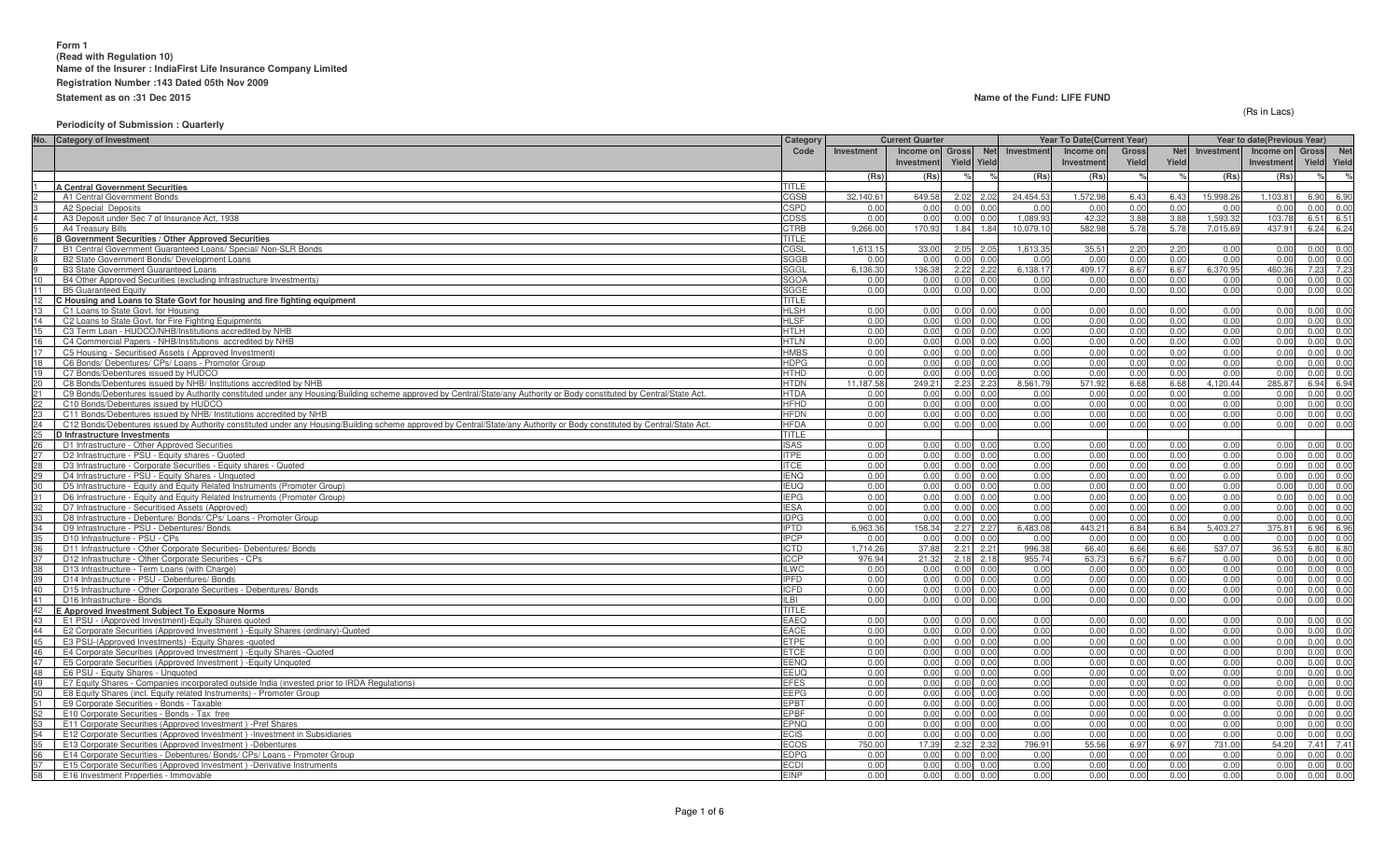#### **Name of the Fund: LIFE FUND**

(Rs in Lacs)

## **Periodicity of Submission : Quarterly**

| No. Category of Investment                                                                                                                                                    | Category                   |            | <b>Current Quarter</b> |                                    |                | Year To Date(Current Year) |               |            | Year to date(Previous Year) |            |             |            |
|-------------------------------------------------------------------------------------------------------------------------------------------------------------------------------|----------------------------|------------|------------------------|------------------------------------|----------------|----------------------------|---------------|------------|-----------------------------|------------|-------------|------------|
|                                                                                                                                                                               | Code                       | Investment | Income on Gross        | <b>Net</b>                         | Investment     | Income or                  | Gross         | <b>Net</b> | Investment                  | Income on  | Gross       | <b>Net</b> |
|                                                                                                                                                                               |                            |            | Investment             | Yield Yield                        |                | Investmen                  | Yield         | Yield      |                             | Investment | Yield Yield |            |
|                                                                                                                                                                               |                            | (Rs)       | (Rs)                   |                                    | (Rs)           | (Rs                        | $\frac{1}{2}$ |            | (Rs)                        | (Rs)       |             |            |
| <b>A Central Government Securities</b>                                                                                                                                        | <b>TITLE</b>               |            |                        |                                    |                |                            |               |            |                             |            |             |            |
| A1 Central Government Bonds                                                                                                                                                   | CGSB                       | 32,140.6   | 649.58                 | 2.02<br>2.02                       | 24,454.53      | 1,572.98                   | 6.43          | 6.43       | 15,998.26                   | 1,103.8    | 6.90        | 6.90       |
| A2 Special Deposits                                                                                                                                                           | <b>CSPD</b>                | 0.0(       | 0.00                   | 0.00<br>0 <sup>0<sup>1</sup></sup> | 0 <sub>0</sub> | 0.0                        | 0.00          | 0.00       | 0.00                        | 0.00       | 0.00        | 0.00       |
| A3 Deposit under Sec 7 of Insurance Act, 1938                                                                                                                                 | CDSS                       | 0.00       | 0.00                   | 0.00<br>0.00                       | 1.089.93       | 42.32                      | 3.88          | 3.88       | 1.593.32                    | 103.78     | 6.51 6.51   |            |
| A4 Treasury Bills                                                                                                                                                             | <b>CTRB</b>                | 9.266.0    | 170.93                 | 1.84<br>1.84                       | 10.079.10      | 582.9                      | 5.78          | 5.78       | 7.015.69                    | 437.91     | 6.24 6.24   |            |
| <b>B Government Securities / Other Approved Securities</b>                                                                                                                    | <b>TITLE</b>               |            |                        |                                    |                |                            |               |            |                             |            |             |            |
| B1 Central Government Guaranteed Loans/ Special/ Non-SLR Bonds                                                                                                                | CGSL                       | 1,613.1    | 33.00                  | 2.05<br>2.05                       | 1,613.35       | $35.5^{\circ}$             | 2.20          | 2.20       | 0.00                        | 0.00       | 0.00 0.00   |            |
| B2 State Government Bonds/ Development Loans                                                                                                                                  | <b>SGGB</b>                | 0.00       | 0.00                   | 0.00<br>0.00                       | 0.00           | 0.00                       | 0.00          | 0.00       | 0.00                        | 0.00       | 0.00 0.00   |            |
| <b>B3 State Government Guaranteed Loans</b>                                                                                                                                   | SGGL                       | 6.136.30   | 136.38                 | 2.22<br>2.22                       | 6.138.17       | 409.1                      | 6.67          | 6.67       | 6,370.95                    | 460.3      | 7.23        | 7.23       |
| 10<br>B4 Other Approved Securities (excluding Infrastructure Investments)                                                                                                     | <b>SGOA</b>                | 0.00       | 0.00                   | 0.00<br>0.00                       | 0.00           | 0.00                       | 0.00          | 0.00       | 0.00                        | 0.00       | 0.00 0.00   |            |
| 11<br><b>B5 Guaranteed Equity</b>                                                                                                                                             | <b>SGGE</b>                | 0.00       | 0.00                   | 0.00<br>0.00                       | 0.00           | 0.00                       | 0.00          | 0.00       | 0.00                        | 0.00       | 0.00 0.00   |            |
| C Housing and Loans to State Govt for housing and fire fighting equipment                                                                                                     | <b>TITLE</b>               |            |                        |                                    |                |                            |               |            |                             |            |             |            |
| 13<br>C1 Loans to State Govt, for Housing                                                                                                                                     | <b>HLSH</b>                | 0.00       | 0.00                   | 0.00<br>0.00                       | 0.00           | 0.00                       | 0.00          | 0.00       | 0.00                        | 0.00       | 0.00        | 0.00       |
| 14<br>C2 Loans to State Govt. for Fire Fighting Equipments                                                                                                                    | <b>HLSF</b>                | 0.00       | 0.00                   | 0.00<br>0.00                       | 0.00           | 0.00                       | 0.00          | 0.00       | 0.00                        | 0.00       | 0.00        | 0.00       |
| 15<br>C3 Term Loan - HUDCO/NHB/Institutions accredited by NHB                                                                                                                 | <b>HTLH</b>                | 0.00       | 0.00                   | 0.00<br>0.00                       | 0.00           | 0.00                       | 0.00          | 0.00       | 0.00                        | 0.00       | 0.00 0.00   |            |
| 16<br>C4 Commercial Papers - NHB/Institutions accredited by NHB                                                                                                               | <b>HTLN</b>                | 0.00       | 0.00                   | 0.00<br>0.00                       | 0.00           | 0.00                       | 0.00          | 0.00       | 0.00                        | 0.00       | 0.00        | 0.00       |
| C5 Housing - Securitised Assets (Approved Investment)                                                                                                                         | <b>HMBS</b>                | 0.00       | 0.00                   | 0.00 0.00                          | 0.00           | 0.00                       | 0.00          | 0.00       | 0.00                        | 0.00       | 0.00 0.00   |            |
| C6 Bonds/ Debentures/ CPs/ Loans - Promotor Group                                                                                                                             | <b>HDPG</b>                | 0.00       | 0.00                   | 0.00<br>0.00                       | 0.00           | 0.00                       | 0.00          | 0.00       | 0.00                        | 0.00       | 0.00        | 0.00       |
| 19<br>C7 Bonds/Debentures issued by HUDCO                                                                                                                                     | <b>HTHD</b>                | 0.00       | 0.00                   | 0.00<br>0.00                       | 0.00           | 0.00                       | 0.00          | 0.00       | 0.00                        | 0.00       | 0.00 0.00   |            |
| 20 <sub>2</sub><br>C8 Bonds/Debentures issued by NHB/ Institutions accredited by NHB                                                                                          | <b>HTDN</b>                | 11,187.58  | 249.21                 | 2.23<br>2.23                       | 8,561.79       | 571.92                     | 6.68          | 6.68       | 4,120.44                    | 285.87     | 6.94 6.94   |            |
| 21<br>C9 Bonds/Debentures issued by Authority constituted under any Housing/Building scheme approved by Central/State/any Authority or Body constituted by Central/State Act. | <b>HTDA</b>                | 0.00       | 0.00                   | 0.00<br>0.00                       | 0.00           | 0.00                       | 0.00          | 0.00       | 0.00                        | 0.00       | 0.00        | 0.00       |
| C10 Bonds/Debentures issued by HUDCO                                                                                                                                          | <b>HFHD</b>                | 0.00       | 0.00                   | 0.00<br>0.00                       | 0.00           | 0.00                       | 0.00          | 0.00       | 0.00                        | 0.00       | 0.00        | 0.00       |
| 23<br>C11 Bonds/Debentures issued by NHB/ Institutions accredited by NHB                                                                                                      | <b>HFDN</b>                | 0.00       | 0.00                   | 0.00<br><u>በ በበ</u>                | 0.00           | 0.00                       | 0.00          | 0.00       | 0.00                        | 0.00       | 0.00 0.00   |            |
| 24<br>C12 Bonds/Debentures issued by Authority constituted under any Housing/Building scheme approved by Central/State/any Authority or Body constituted by Central/State Act | <b>HFDA</b>                | 0.00       | 0.00                   | 0.00<br>0.00                       | 0.00           | 0.00                       | 0.00          | 0.00       | 0.00                        | 0.00       | 0.00        | 0.00       |
| 25<br>26<br>D Infrastructure Investments                                                                                                                                      | TITLE                      | 0.00       | 0.00                   | 0.00<br>0.00                       | 0.00           |                            | 0.00          | 0.00       | 0.00                        | 0.00       | 0.00 0.00   |            |
| D1 Infrastructure - Other Approved Securities<br>D2 Infrastructure - PSU - Equity shares - Quoted                                                                             | <b>ISAS</b><br><b>ITPE</b> | 0.00       | 0.00                   | 0.00<br>0.00                       | 0.00           | 0.00<br>0.00               | 0.00          | 0.00       | 0.00                        | 0.00       | 0.00        | 0.00       |
| 28<br>D3 Infrastructure - Corporate Securities - Equity shares - Quoted                                                                                                       | <b>ITCE</b>                | 0.00       | 0.00                   | 0.00<br>0.00                       | 0.00           | 0.00                       | 0.00          | 0.00       | 0.00                        | 0.00       | 0.00        | 0.00       |
| 29<br>D4 Infrastructure - PSU - Equity Shares - Unquoted                                                                                                                      | <b>IENQ</b>                | 0.00       | 0.00                   | 0.00<br>0.00                       | 0.00           | 0.00                       | 0.00          | 0.00       | 0.00                        | 0.00       | 0.00        | 0.00       |
| 30<br>D5 Infrastructure - Equity and Equity Related Instruments (Promoter Group)                                                                                              | <b>IEUQ</b>                | 0.00       | 0.00                   | 0.00<br>0.00                       | 0.00           | 0.00                       | 0.00          | 0.00       | 0.00                        | 0.00       | 0.00 0.00   |            |
| 31<br>D6 Infrastructure - Equity and Equity Related Instruments (Promoter Group)                                                                                              | <b>IEPG</b>                | 0.00       | 0.00                   | 0.00<br>0.00                       | 0.00           | 0.00                       | 0.00          | 0.00       | 0.00                        | 0.00       | 0.00 0.00   |            |
| 32<br>D7 Infrastructure - Securitised Assets (Approved)                                                                                                                       | <b>IESA</b>                | 0.00       | 0.00                   | 0.00<br>0.00                       | 0.00           | 0.00                       | 0.00          | 0.00       | 0.00                        | 0.00       | 0.00        | 0.00       |
| D8 Infrastructure - Debenture/ Bonds/ CPs/ Loans - Promoter Group                                                                                                             | <b>IDPG</b>                | 0.0(       | 0.00                   | 0.00<br>0.00                       | 0.00           | 0.00                       | 0.00          | 0.00       | 0.00                        | 0.00       | 0.00        | 0.00       |
| 34<br>D9 Infrastructure - PSU - Debentures/ Bonds                                                                                                                             | <b>IPTD</b>                | 6.963.36   | 158.34                 | 2.27<br>2.27                       | 6,483.08       | 443.21                     | 6.84          | 6.84       | 5,403.27                    | 375.81     | 6.96 6.96   |            |
| 35<br>D <sub>10</sub> Infrastructure - PSU - CPs                                                                                                                              | <b>IPCP</b>                | 0.00       | 0.00                   | 0.00<br>0.00                       | 0.00           | 0.00                       | 0.00          | 0.00       | 0.00                        | 0.00       | 0.00 0.00   |            |
| D11 Infrastructure - Other Corporate Securities- Debentures/ Bonds                                                                                                            | <b>ICTD</b>                | 1.714.2    | 37.88                  | 2.21<br>2.21                       | 996.38         | 66.40                      | 6.66          | 6.66       | 537.07                      | 36.53      | 6.80        | 6.80       |
| 37<br>D12 Infrastructure - Other Corporate Securities - CPs                                                                                                                   | <b>ICCP</b>                | 976.94     | 21.32                  | 2.18<br>2.18                       | 955.74         | 63.73                      | 6.67          | 6.67       | 0.00                        | 0.00       | 0.00        | 0.00       |
| 38<br>D13 Infrastructure - Term Loans (with Charge)                                                                                                                           | <b>ILWC</b>                | 0.00       | 0.00                   | 0.00<br>0.00                       | 0.00           | 0.00                       | 0.00          | 0.00       | 0.00                        | 0.00       | 0.00 0.00   |            |
| 39<br>D14 Infrastructure - PSU - Debentures/ Bonds                                                                                                                            | <b>IPFD</b>                | 0.00       | 0.00                   | 0.00<br>0.00                       | 0.00           | 0.00                       | 0.00          | 0.00       | 0.00                        | 0.00       | 0.00 0.00   |            |
| 40<br>D15 Infrastructure - Other Corporate Securities - Debentures/ Bonds                                                                                                     | <b>ICFD</b>                | 0.00       | 0.00                   | 0.00<br>0.00                       | 0.00           | 0.00                       | 0.00          | 0.00       | 0.00                        | 0.00       | 0.00 0.00   |            |
| 41<br>D16 Infrastructure - Bonds                                                                                                                                              | <b>ILBI</b>                | 0.00       | 0.00                   | 0.00<br>0.00                       | 0.00           | 0.00                       | 0.00          | 0.00       | 0.00                        | 0.00       | 0.00 0.00   |            |
| 42<br>E Approved Investment Subject To Exposure Norms                                                                                                                         | <b>TITLE</b>               |            |                        |                                    |                |                            |               |            |                             |            |             |            |
| 43<br>E1 PSU - (Approved Investment)-Equity Shares quoted                                                                                                                     | <b>EAEQ</b>                | 0.00       | 0.00                   | 0.00<br>0.00                       | 0.00           | 0.00                       | 0.00          | 0.00       | 0.00                        | 0.00       | 0.00        | 0.00       |
| E2 Corporate Securities (Approved Investment) - Equity Shares (ordinary)-Quoted                                                                                               | <b>EACE</b>                | 0.00       | 0.00                   | 0.00<br>0.00                       | 0.00           | 0.00                       | 0.00          | 0.00       | 0.00                        | 0.00       | 0.00        | 0.00       |
| 45<br>E3 PSU-(Approved Investments) - Equity Shares - quoted                                                                                                                  | <b>ETPE</b>                | 0.00       | 0.00                   | 0.00<br>0.00                       | 0.00           | 0.00                       | 0.00          | 0.00       | 0.00                        | 0.00       | 0.00 0.00   |            |
| 46<br>E4 Corporate Securities (Approved Investment) - Equity Shares - Quoted                                                                                                  | <b>ETCE</b>                | 0.00       | 0.00                   | 0.00<br>0.00                       | 0.00           | 0.00                       | 0.00          | 0.00       | 0.00                        | 0.00       | 0.00 0.00   |            |
| E5 Corporate Securities (Approved Investment) - Equity Unquoted                                                                                                               | <b>EENQ</b>                | 0.00       | 0.00                   | 0.00<br>0.00                       | 0.00           | 0.00                       | 0.00          | 0.00       | 0.00                        | 0.00       | 0.00 0.00   |            |
| 48<br>E6 PSU - Equity Shares - Unquoted                                                                                                                                       | EEUQ                       | 0.00       | 0.00                   | 0.00<br>0.00                       | 0.00           | 0.00                       | 0.00          | 0.00       | 0.00                        | 0.00       | 0.00        | 0.00       |
| 49<br>E7 Equity Shares - Companies incorporated outside India (invested prior to IRDA Regulations)                                                                            | <b>EFES</b>                | 0.00       | 0.00                   | 0.00<br>0.00                       | 0.00           | 0.00                       | 0.00          | 0.00       | 0.00                        | 0.00       | 0.00 0.00   |            |
| 50<br>E8 Equity Shares (incl. Equity related Instruments) - Promoter Group                                                                                                    | <b>EEPG</b>                | 0.00       | 0.00                   | 0.00<br>0.00                       | 0.00           | 0.00                       | 0.00          | 0.00       | 0.00                        | 0.00       | 0.00 0.00   |            |
| 51<br>E9 Corporate Securities - Bonds - Taxable                                                                                                                               | <b>EPBT</b>                | 0.00       | 0.00                   | 0.00<br>0.00                       | 0.00           | 0.00                       | 0.00          | 0.00       | 0.00                        | 0.00       | 0.00        | 0.00       |
| E10 Corporate Securities - Bonds - Tax free                                                                                                                                   | <b>EPBF</b>                | 0.00       | 0.00                   | 0.00<br>0.00                       | 0.00           | 0.00                       | 0.00          | 0.00       | 0.00                        | 0.00       | 0.00        | 0.00       |
| 53<br>E11 Corporate Securities (Approved Investment) - Pref Shares                                                                                                            | <b>EPNQ</b>                | 0.00       | 0.00                   | 0.00<br>0.00                       | 0.00           | 0.00                       | 0.00          | 0.00       | 0.00                        | 0.00       | 0.00 0.00   |            |
| 54<br>E12 Corporate Securities (Approved Investment) - Investment in Subsidiaries                                                                                             | ECIS                       | 0.00       | 0.00                   | 0.00<br>0.00                       | 0.00           | 0.00                       | 0.00          | 0.00       | 0.00                        | 0.00       | 0.00        | 0.00       |
| E13 Corporate Securities (Approved Investment) - Debentures                                                                                                                   | ECOS                       | 750.0      | 17.39                  | 2.32<br>2.32                       | 796.91         | 55.56                      | 6.97          | 6.97       | 731.00                      | 54.20      | 7.41        | 7.41       |
| 56<br>E14 Corporate Securities - Debentures/ Bonds/ CPs/ Loans - Promoter Group                                                                                               | <b>EDPG</b>                | 0.00       | 0.00                   | 0.00<br>0.00                       | 0.00           | 0.00                       | 0.00          | 0.00       | 0.00                        | 0.00       | 0.00 0.00   |            |
| E15 Corporate Securities (Approved Investment) - Derivative Instruments                                                                                                       | <b>ECDI</b>                | 0.00       | 0.00                   | 0.00<br>0.00                       | 0.00           | 0.00                       | 0.00          | 0.00       | 0.00                        | 0.00       | 0.00 0.00   |            |
| 58<br>E16 Investment Properties - Immovable                                                                                                                                   | <b>EINP</b>                | 0.00       | 0.00                   | 0.00<br>0.00                       | 0.00           | 0.00                       | 0.00          | 0.00       | 0.00                        | 0.00       | 0.00        | 0.00       |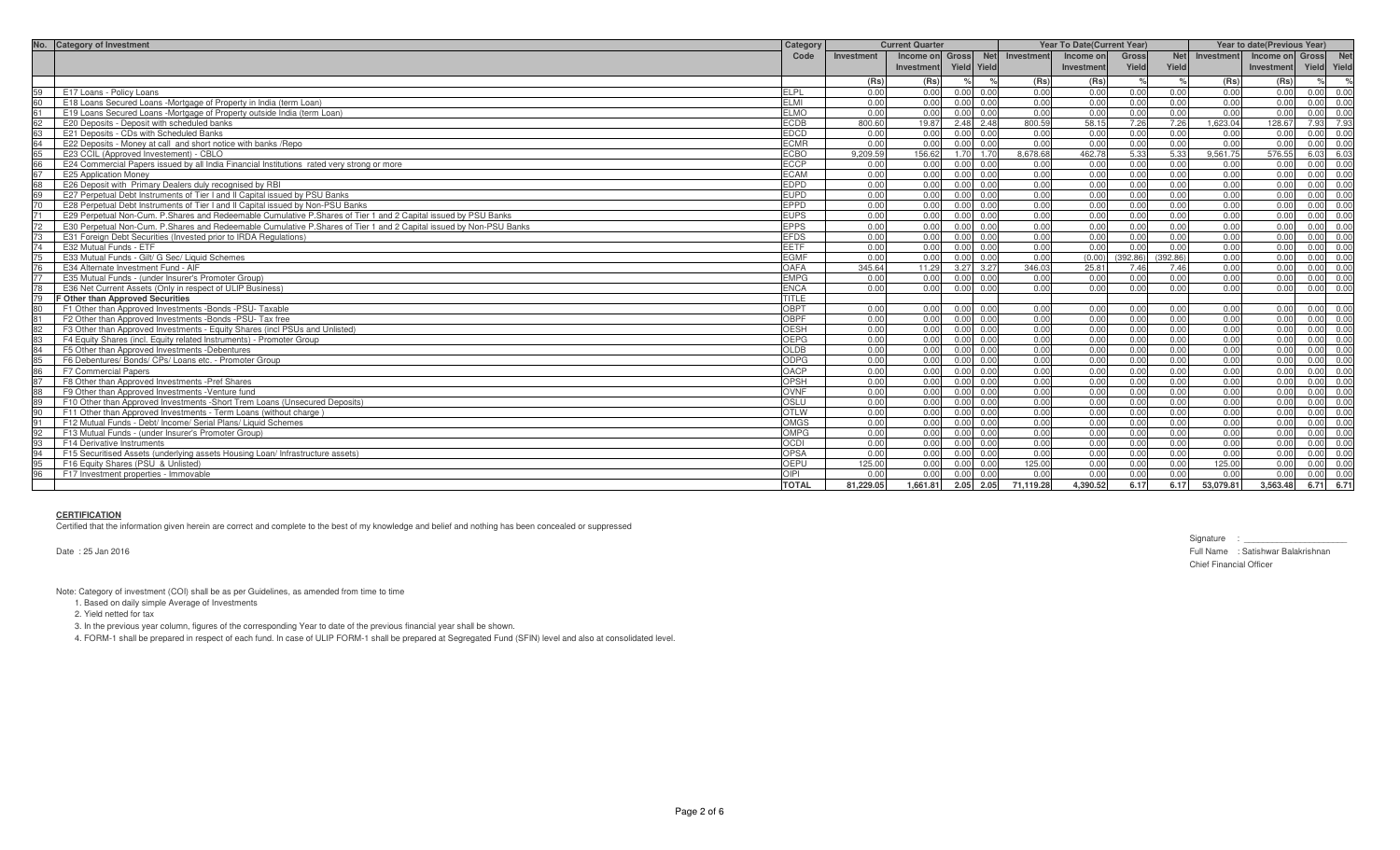| No. Category of Investment                                                                                           | Category     | <b>Current Quarter</b> |                 |                   |      | <b>Year To Date (Current Year)</b> |            |          |            |            | Year to date(Previous Year) |               |               |
|----------------------------------------------------------------------------------------------------------------------|--------------|------------------------|-----------------|-------------------|------|------------------------------------|------------|----------|------------|------------|-----------------------------|---------------|---------------|
|                                                                                                                      | Code         | Investment             | Income on Gross |                   |      | Net Investment                     | Income onl | Gross    | <b>Net</b> | Investment | Income on Gross             |               | <b>Net</b>    |
|                                                                                                                      |              |                        | Investment      | Yield Yield       |      |                                    | Investment | Yield    | Yield      |            | Investment                  | Yield Yield   |               |
|                                                                                                                      |              | (Rs)                   | (Rs)            |                   | $\%$ | (Rs)                               | (Rs)       |          |            | (Rs)       | (Rs)                        | $\frac{1}{2}$ | $\frac{1}{2}$ |
| E17 Loans - Policy Loans                                                                                             | <b>ELPL</b>  | 0.00                   | 0.00            | $0.00 \ 0.00$     |      | 0.00                               | 0.00       | 0.00     | 0.00       | 0.00       | 0.00                        |               | 0.00 0.00     |
| 60<br>E18 Loans Secured Loans -Mortgage of Property in India (term Loan)                                             | <b>ELMI</b>  | 0.00                   | 0.00            | $0.00 \quad 0.00$ |      | 0.00                               | 0.00       | 0.00     | 0.00       | 0.00       | 0.00                        |               | 0.00 0.00     |
| 61<br>E19 Loans Secured Loans -Mortgage of Property outside India (term Loan)                                        | <b>ELMO</b>  | 0.00                   | 0.00            | 0.00              | 0.00 | 0.00                               | 0.00       | 0.00     | 0.00       | 0.00       | 0.00                        |               | $0.00 \ 0.00$ |
| E20 Deposits - Deposit with scheduled banks<br>62                                                                    | <b>ECDB</b>  | 800.60                 | 19.87           | 2.48              | 2.48 | 800.59                             | 58.15      | 7.26     | 7.26       | 1,623.04   | 128.67                      | 7.93          | 7.93          |
| 63<br>E21 Deposits - CDs with Scheduled Banks                                                                        | <b>EDCD</b>  | 0.00                   | 0.00            | $0.00 \quad 0.00$ |      | 0.00                               | 0.00       | 0.00     | 0.00       | 0.00       | 0.00                        |               | 0.00 0.00     |
| 64<br>E22 Deposits - Money at call and short notice with banks / Repo                                                | <b>ECMR</b>  | 0.00                   | 0.00            | 0.00              | 0.00 | 0.00                               | 0.00       | 0.00     | 0.00       | 0.00       | 0.00                        |               | 0.00 0.00     |
| E23 CCIL (Approved Investement) - CBLO<br>65                                                                         | <b>ECBO</b>  | 9.209.59               | 156.62          | 1.70              | 1.70 | 8.678.68                           | 462.78     | 5.33     | 5.33       | 9.561.75   | 576.55                      | 6.03 6.03     |               |
| E24 Commercial Papers issued by all India Financial Institutions rated very strong or more                           | <b>ECCP</b>  | 0.00                   | 0.00            | 0.00              | 0.00 | 0.00                               | 0.00       | 0.00     | 0.00       | 0.00       | 0.00                        | 0.00 0.00     |               |
| 67<br>E25 Application Money                                                                                          | <b>ECAM</b>  | 0.00                   | 0.00            | 0.00              | 0.00 | 0.00                               | 0.00       | 0.00     | 0.00       | 0.00       | 0.00                        | 0.00          | 0.00          |
| 68<br>E26 Deposit with Primary Dealers duly recognised by RBI                                                        | <b>EDPD</b>  | 0.00                   | 0.00            | 0.00              | 0.00 | 0.00                               | 0.00       | 0.00     | 0.00       | 0.00       | 0.00                        | 0.00          | 0.00          |
| E27 Perpetual Debt Instruments of Tier I and II Capital issued by PSU Banks                                          | <b>EUPD</b>  | 0.00                   | 0.00            | $0.00 \quad 0.00$ |      | 0.00                               | 0.00       | 0.00     | 0.00       | 0.00       | 0.00                        |               | 0.00 0.00     |
| E28 Perpetual Debt Instruments of Tier I and II Capital issued by Non-PSU Banks<br>70                                | EPPD         | 0.00                   | 0.00            | 0.00              | 0.00 | 0.00                               | 0.00       | 0.00     | 0.00       | 0.00       | 0.00                        |               | 0.00 0.00     |
| 71<br>E29 Perpetual Non-Cum, P.Shares and Redeemable Cumulative P.Shares of Tier 1 and 2 Capital issued by PSU Banks | <b>EUPS</b>  | 0.00                   | 0.00            | 0.00              | 0.00 | 0.00                               | 0.00       | 0.00     | 0.00       | 0.00       | 0.00                        | 0.00 0.00     |               |
| E30 Perpetual Non-Cum, P.Shares and Redeemable Cumulative P.Shares of Tier 1 and 2 Capital issued by Non-PSU Banks   | <b>EPPS</b>  | 0.00                   | 0.00            | 0.00              | 0.00 | 0.00                               | 0.00       | 0.00     | 0.00       | 0.00       | 0.00                        | 0.00          | 0.00          |
| 73<br>E31 Foreign Debt Securities (Invested prior to IRDA Regulations)                                               | <b>EFDS</b>  | 0.00                   | 0.00            | $0.00 \quad 0.00$ |      | 0.00                               | 0.00       | 0.00     | 0.00       | 0.00       | 0.00                        |               | 0.00 0.00     |
| 74<br>E32 Mutual Funds - ETF                                                                                         | <b>EETF</b>  | 0.00                   | 0.00            | 0.00              | 0.00 | 0.00                               | 0.00       | 0.00     | 0.00       | 0.00       | 0.00                        | 0.00          | 0.00          |
| E33 Mutual Funds - Gilt/ G Sec/ Liquid Schemes                                                                       | <b>EGMF</b>  | 0.00                   | 0.00            | 0.00              | 0.00 | 0.00                               | (0.00)     | (392.86) | (392.86)   | 0.00       | 0.00                        |               | 0.00 0.00     |
| E34 Alternate Investment Fund - AIF                                                                                  | OAFA         | 345.64                 | 11.29           | 3.27              | 3.27 | 346.03                             | 25.81      | 7.46     | 7.46       | 0.00       | 0.00                        |               | 0.00 0.00     |
| E35 Mutual Funds - (under Insurer's Promoter Group)                                                                  | <b>EMPG</b>  | 0.00                   | 0.00            | 0.00              | 0.00 | 0.00                               | 0.00       | 0.00     | 0.00       | 0.00       | 0.00                        | 0.00          | 0.00          |
| 78<br>E36 Net Current Assets (Only in respect of ULIP Business)                                                      | <b>ENCA</b>  | 0.00                   | 0.00            | 0.00              | 0.00 | 0.00                               | 0.00       | 0.00     | 0.00       | 0.00       | 0.00                        | 0.00 0.00     |               |
| F Other than Approved Securities                                                                                     | <b>TITLE</b> |                        |                 |                   |      |                                    |            |          |            |            |                             |               |               |
| 80<br>F1 Other than Approved Investments -Bonds -PSU- Taxable                                                        | OBPT         | 0.00                   | 0.00            | 0.00              | 0.00 | 0.00                               | 0.00       | 0.00     | 0.00       | 0.00       | 0.00                        | 0.00 0.00     |               |
| 81<br>F2 Other than Approved Investments -Bonds -PSU- Tax free                                                       | OBPF         | 0.00                   | 0.00            | $0.00 \quad 0.00$ |      | 0.00                               | 0.00       | 0.00     | 0.00       | 0.00       | 0.00                        | $0.00 \ 0.00$ |               |
| F3 Other than Approved Investments - Equity Shares (incl PSUs and Unlisted)<br>82                                    | <b>OESH</b>  | 0.00                   | 0.00            | 0.00              | 0.00 | 0.00                               | 0.00       | 0.00     | 0.00       | 0.00       | 0.00                        |               | 0.00 0.00     |
| 83<br>F4 Equity Shares (incl. Equity related Instruments) - Promoter Group                                           | OEPG         | 0.00                   | 0.00            | $0.00 \quad 0.00$ |      | 0.00                               | 0.00       | 0.00     | 0.00       | 0.00       | 0.00                        |               | 0.00 0.00     |
| 84<br>F5 Other than Approved Investments -Debentures                                                                 | OLDB         | 0.00                   | 0.00            | 0.00              | 0.00 | 0.00                               | 0.00       | 0.00     | 0.00       | 0.00       | 0.00                        |               | $0.00 \ 0.00$ |
| F6 Debentures/ Bonds/ CPs/ Loans etc. - Promoter Group<br>85<br>86                                                   | <b>ODPG</b>  | 0.00                   | 0.00            | 0.00              | 0.00 | 0.00                               | 0.00       | 0.00     | 0.00       | 0.00       | 0.00                        |               | 0.00 0.00     |
| <b>F7 Commercial Papers</b>                                                                                          | <b>OACP</b>  | 0.00                   | 0.00            | $0.00 \quad 0.00$ |      | 0.00                               | 0.00       | 0.00     | 0.00       | 0.00       | 0.00                        |               | $0.00 \ 0.00$ |
| 87<br>F8 Other than Approved Investments - Pref Shares                                                               | OPSH         | 0.00                   | 0.00            | 0.00              | 0.00 | 0.00                               | 0.00       | 0.00     | 0.00       | 0.00       | 0.00                        | 0.00          | 0.00          |
| 88<br>F9 Other than Approved Investments - Venture fund                                                              | <b>OVNF</b>  | 0.00                   | 0.00            | 0.00              | 0.00 | 0.00                               | 0.00       | 0.00     | 0.00       | 0.00       | 0.00                        |               | 0.00 0.00     |
| F10 Other than Approved Investments - Short Trem Loans (Unsecured Deposits)                                          | OSLU         | 0.00                   | 0.00            | 0.00              | 0.00 | 0.00                               | 0.00       | 0.00     | 0.00       | 0.00       | 0.00                        |               | 0.00 0.00     |
| F11 Other than Approved Investments - Term Loans (without charge)<br>90                                              | <b>OTLW</b>  | 0.00                   | 0.00            | 0.00              | 0.00 | 0.00                               | 0.00       | 0.00     | 0.00       | 0.00       | 0.00                        |               | 0.00 0.00     |
| 91<br>F12 Mutual Funds - Debt/ Income/ Serial Plans/ Liquid Schemes                                                  | <b>OMGS</b>  | 0.00                   | 0.00            | 0.00              | 0.00 | 0.00                               | 0.00       | 0.00     | 0.00       | 0.00       | 0.00                        | $0.00 \ 0.00$ |               |
| F13 Mutual Funds - (under Insurer's Promoter Group)<br>92                                                            | <b>OMPG</b>  | 0.00                   | 0.00            | 0.00              | 0.00 | 0.00                               | 0.00       | 0.00     | 0.00       | 0.00       | 0.00                        | 0.00          | 0.00          |
| 93<br>F14 Derivative Instruments                                                                                     | <b>OCDI</b>  | 0.00                   | 0.00            | 0.00              | 0.00 | 0.00                               | 0.00       | 0.00     | 0.00       | 0.00       | 0.00                        |               | 0.00 0.00     |
| 94<br>F15 Securitised Assets (underlying assets Housing Loan/ Infrastructure assets)                                 | OPSA         | 0.00                   | 0.00            | 0.00 0.00         |      | 0.00                               | 0.00       | 0.00     | 0.00       | 0.00       | 0.00                        |               | 0.00 0.00     |
| F16 Equity Shares (PSU & Unlisted)<br>95                                                                             | OEPU         | 125.00                 | 0.00            | 0.00              | 0.00 | 125.00                             | 0.00       | 0.00     | 0.00       | 125.00     | 0.00                        | 0.00          | 0.00          |
| 96<br>F17 Investment properties - Immovable                                                                          | OIPI         | . N U                  | 0.00            | 0.00              | 0.00 | 0.00                               | 0.00       | 0.00     | 0.00       | 0.00       | 0.00                        | 0.00          | 0.00          |
|                                                                                                                      | <b>TOTAL</b> | 81.229.05              | 1.661.81        | 2.05              | 2.05 | 71,119.28                          | 4.390.52   | 6.17     | 6.17       | 53.079.81  | 3.563.48                    |               | 6.71 6.71     |

# **CERTIFICATION**

Certified that the information given herein are correct and complete to the best of my knowledge and belief and nothing has been concealed or suppressed

Date : 25 Jan 2016

Signature : \_\_\_\_\_\_\_\_\_\_\_\_\_\_\_\_\_\_\_\_\_\_ Full Name : Satishwar Balakrishnan Chief Financial Officer

Note: Category of investment (COI) shall be as per Guidelines, as amended from time to time

1. Based on daily simple Average of Investments

2. Yield netted for tax

3. In the previous year column, figures of the corresponding Year to date of the previous financial year shall be shown.

4. FORM-1 shall be prepared in respect of each fund. In case of ULIP FORM-1 shall be prepared at Segregated Fund (SFIN) level and also at consolidated level.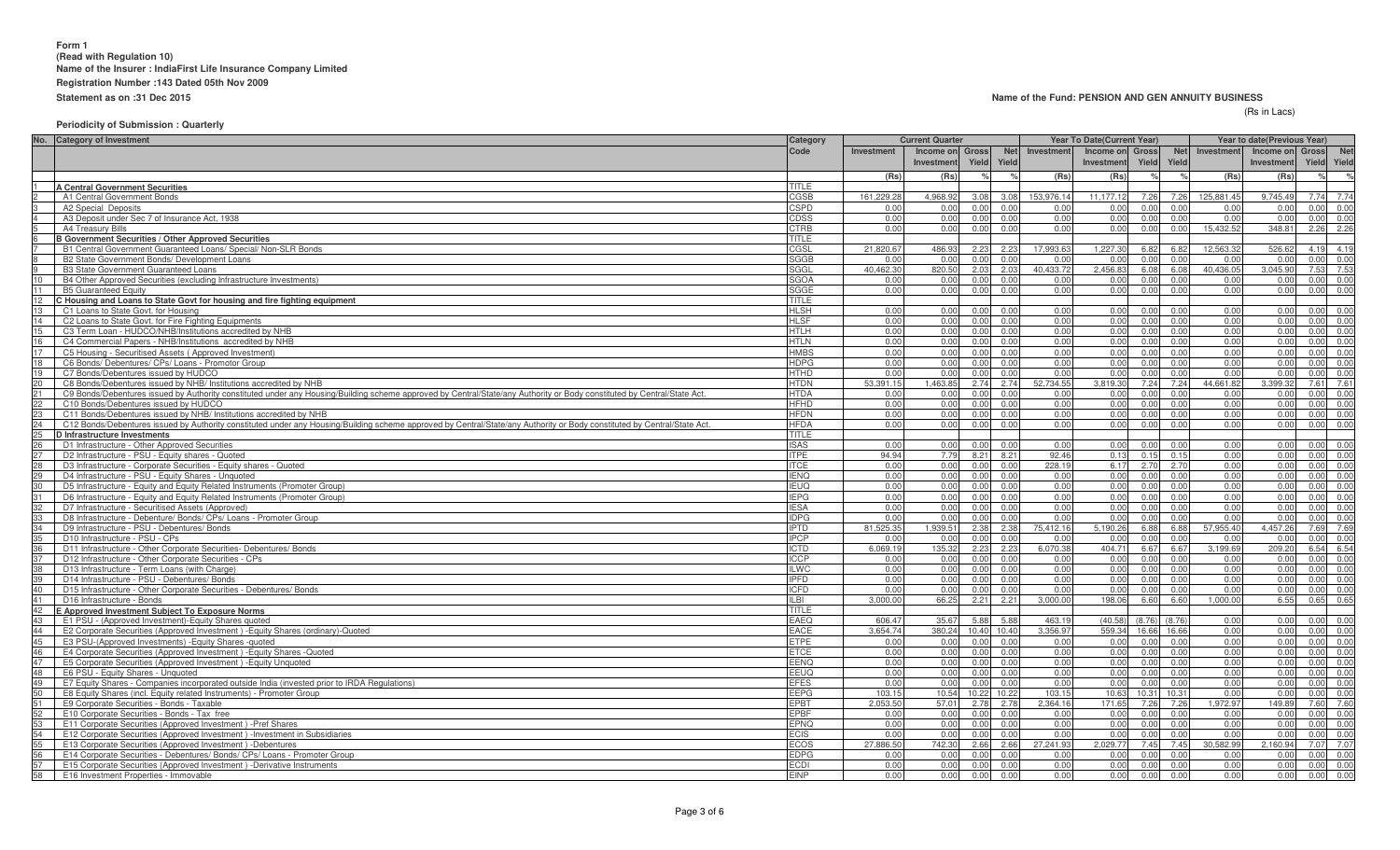#### **Name of the Fund: PENSION AND GEN ANNUITY BUSINESS**

#### (Rs in Lacs)

## **Periodicity of Submission : Quarterly**

| No. Category of Investment                                                                                                                                                     | Category     | <b>Current Quarter</b> |                               |               |                     | <b>Year To Date (Current Year)</b> |                               |        |             | Year to date(Previous Year) |                              |       |            |
|--------------------------------------------------------------------------------------------------------------------------------------------------------------------------------|--------------|------------------------|-------------------------------|---------------|---------------------|------------------------------------|-------------------------------|--------|-------------|-----------------------------|------------------------------|-------|------------|
|                                                                                                                                                                                | Code         | Investment             | Income on Gross<br>Investment | Yield         | <b>Net</b><br>Yield | Investment                         | Income on Gross<br>Investment | Yield  | Yield       | Net Investment              | Income on Gross<br>Investmen | Yield | <b>Net</b> |
|                                                                                                                                                                                |              |                        |                               |               |                     |                                    |                               |        |             |                             |                              |       | Yield      |
| <b>A Central Government Securities</b>                                                                                                                                         | TITLE        | (Rs)                   | (Rs)                          |               |                     | (Rs)                               | (Rs)                          |        |             | (Rs)                        | (Rs)                         |       | $\%$       |
| A1 Central Government Bonds                                                                                                                                                    | CGSB         | 161,229.28             | 4,968.92                      | 3.08          | 3.08                | 153,976.14                         | 11,177.12                     | 7.26   | 7.26        | 125,881.45                  | 9,745.49                     | 7.74  | 7.74       |
| A2 Special Deposits                                                                                                                                                            | <b>CSPD</b>  | 0.00                   | 0.00                          | 0.00          | 0.00                | 0.00                               | 0.00                          | 0.00   | 0.00        | 0.00                        | 0.00                         | 0.00  | 0.00       |
| A3 Deposit under Sec 7 of Insurance Act. 1938                                                                                                                                  | CDSS         | 0.00                   | 0.00                          | 0.00          | 0.00                | 0.00                               | 0.00                          | 0.00   | 0.00        | 0.00                        | 0.00                         | 0.00  | 0.00       |
| A4 Treasury Bills                                                                                                                                                              | <b>CTRB</b>  | 0.00                   | 0.00                          | 0.00          | 0.00                | 0.00                               | 0.00                          | 0.00   | 0.00        | 15.432.52                   | 348.81                       | 2.26  | 2.26       |
| <b>B Government Securities / Other Approved Securities</b>                                                                                                                     | TITLE        |                        |                               |               |                     |                                    |                               |        |             |                             |                              |       |            |
| B1 Central Government Guaranteed Loans/ Special/ Non-SLR Bonds                                                                                                                 | CGSL         | 21.820.67              | 486.93                        | 2.23          | 2.23                | 17.993.63                          | 1,227.30                      | 6.82   | 6.82        | 12.563.32                   | 526.62                       | 4.19  | 4.19       |
| B2 State Government Bonds/ Development Loans                                                                                                                                   | SGGB         | 0.00                   | 0.00                          | 0.00          | 0.00                | 0.00                               | 0.00                          | 0.00   | 0.00        | 0.00                        | 0.00                         | 0.00  | 0.00       |
| <b>B3 State Government Guaranteed Loans</b>                                                                                                                                    | SGGL         | 40.462.3               | 820.50                        | 2.03          | 2.03                | 40.433.72                          | 2.456.83                      | 6.08   | 6.08        | 40,436.05                   | 3.045.9                      | 7.53  | 7.53       |
| 10<br>B4 Other Approved Securities (excluding Infrastructure Investments)                                                                                                      | <b>SGOA</b>  | 0.0(                   | 0.0(                          | 0.0           | 0.00                | 0.00                               | 0.00                          | 0.00   | 0.00        | 0.00                        | 0.0                          | 0.00  | 0.00       |
| 11<br><b>B5 Guaranteed Equity</b>                                                                                                                                              | SGGE         | 0.00                   | 0.00                          | 0.00          | 0.00                | 0.00                               | 0.00                          | 0.00   | 0.00        | 0.00                        | 0.00                         | 0.00  | 0.00       |
| 12<br>C Housing and Loans to State Govt for housing and fire fighting equipment                                                                                                | TITLE        |                        |                               |               |                     |                                    |                               |        |             |                             |                              |       |            |
| 13 <sup>13</sup><br>C1 Loans to State Govt, for Housing                                                                                                                        | <b>HLSH</b>  | 0.00                   | 0.00                          | 0.00          | 0.00                | 0.00                               | 0.00                          | 0.00   | 0.00        | 0.00                        | 0.00                         | 0.00  | 0.00       |
| 14<br>C2 Loans to State Govt. for Fire Fighting Equipments                                                                                                                     | <b>HLSF</b>  | 0.00                   | 0.00                          | 0.00          | 0.00                | 0.00                               | 0.00                          | 0.00   | 0.00        | 0.00                        | 0.00                         | 0.00  | 0.00       |
| 15<br>C3 Term Loan - HUDCO/NHB/Institutions accredited by NHB                                                                                                                  | <b>HTLH</b>  | 0.00                   | 0.00                          | 0.00          | 0.00                | 0.00                               | 0.00                          | 0.00   | 0.00        | 0.00                        | 0.00                         | 0.00  | 0.00       |
| 16<br>C4 Commercial Papers - NHB/Institutions accredited by NHB                                                                                                                | <b>HTLN</b>  | 0.00                   | 0.00                          | 0.0           | 0.00                | 0.00                               | 0.00                          | 0.00   | 0.00        | 0.00                        | 0.00                         | 0.00  | 0.00       |
| 17<br>C5 Housing - Securitised Assets (Approved Investment)                                                                                                                    | <b>HMBS</b>  | 0.00                   | 0.00                          | 0.00          | 0.00                | 0.00                               | 0.00                          | 0.00   | 0.00        | 0.00                        | 0.00                         | 0.00  | 0.00       |
| 18<br>C6 Bonds/ Debentures/ CPs/ Loans - Promotor Group                                                                                                                        | <b>HDPG</b>  | 0.00                   | 0.00                          | 0.0           | 0.00                | 0.00                               | 0.00                          | 0.00   | 0.00        | 0.00                        | 0.00                         | 0.00  | 0.00       |
| 19<br>C7 Bonds/Debentures issued by HUDCO                                                                                                                                      | <b>HTHD</b>  | 0.00                   | 0.00                          | 0.00          | 0.00                | 0.00                               | 0.00                          | 0.00   | 0.00        | 0.00                        | 0.00                         | 0.00  | 0.00       |
| 20<br>C8 Bonds/Debentures issued by NHB/ Institutions accredited by NHB                                                                                                        | <b>HTDN</b>  | 53.391.15              | 1,463.8                       | 2.74          | 2.74                | 52.734.55                          | 3.819.30                      | 7.24   | 7.24        | 44.661.82                   | 3.399.3                      | 7.61  | 7.61       |
| 21<br>C9 Bonds/Debentures issued by Authority constituted under any Housing/Building scheme approved by Central/State/any Authority or Body constituted by Central/State Act.  | <b>HTDA</b>  | 0.00                   | 0.00                          | 0.00          | 0.00                | 0.00                               | 0.00                          | 0.00   | 0.00        | 0.00                        | 0.00                         | 0.00  | 0.00       |
| 22<br>C10 Bonds/Debentures issued by HUDCO                                                                                                                                     | <b>HFHD</b>  | 0.00                   | 0.0(                          | 0.00          | 0.00                | 0.00                               | 0.00                          | 0.00   | 0.00        | 0.00                        | 0.0                          | 0.00  | 0.00       |
| 23<br>C11 Bonds/Debentures issued by NHB/ Institutions accredited by NHB                                                                                                       | <b>HFDN</b>  | 0.00                   | 0.00                          | 0.00          | 0.00                | 0.00                               | 0.00                          | 0.00   | 0.00        | 0.00                        | 0.00                         | 0.00  | 0.00       |
| 24<br>C12 Bonds/Debentures issued by Authority constituted under any Housing/Building scheme approved by Central/State/any Authority or Body constituted by Central/State Act. | <b>HFDA</b>  | 0.00                   | 0.00                          | 0.01          | 0.00                | 0.00                               | 0.00                          | 0.00   | 0.00        | 0.00                        | 0.00                         | 0.00  | 0.00       |
| $25\overline{)}$<br><b>D</b> Infrastructure Investments                                                                                                                        | <b>TITLE</b> |                        |                               |               |                     |                                    |                               |        |             |                             |                              |       |            |
| 26<br>D1 Infrastructure - Other Approved Securities                                                                                                                            | <b>ISAS</b>  | 0.00                   | 0.00                          | 0.0           | 0.00                | 0.00                               | 0.00                          | 0.00   | 0.00        | 0.00                        | 0.00                         | 0.00  | 0.00       |
| 27<br>D2 Infrastructure - PSU - Equity shares - Quoted                                                                                                                         | <b>ITPE</b>  | 94.94                  | 7.79                          | 8.21          | 8.21                | 92.46                              | 0.13                          | 0.15   | 0.15        | 0.00                        | 0.00                         | 0.00  | 0.00       |
| 28<br>D3 Infrastructure - Corporate Securities - Equity shares - Quoted                                                                                                        | <b>ITCE</b>  | 0.00                   | 0.0(                          | 0.00          | 0.00                | 228.19                             | 6.17                          | 2.70   | 2.70        | 0.00                        | 0.00                         | 0.00  | 0.00       |
| 29<br>D4 Infrastructure - PSU - Equity Shares - Unquoted                                                                                                                       | <b>IENQ</b>  | 0.00                   | 0.00                          | 0.00          | 0.00                | 0.00                               | 0.00                          | 0.00   | 0.00        | 0.00                        | 0.00                         | 0.00  | 0.00       |
| 30<br>D5 Infrastructure - Equity and Equity Related Instruments (Promoter Group)                                                                                               | <b>IEUQ</b>  | 0.00                   | 0.00                          | 0.00          | 0.00                | 0.00                               | 0.00                          | 0.00   | 0.00        | 0.00                        | 0.00                         | 0.00  | 0.00       |
| 31<br>D6 Infrastructure - Equity and Equity Related Instruments (Promoter Group)                                                                                               | <b>IEPG</b>  | 0.00                   | 0.00                          | 0.0           | 0.00                | 0.00                               | 0.00                          | 0.00   | 0.00        | 0.00                        | 0.00                         | 0.00  | 0.00       |
| 32<br>D7 Infrastructure - Securitised Assets (Approved)                                                                                                                        | <b>IESA</b>  | 0.00                   | 0.00                          | 0.00          | 0.00                | 0.00                               | 0.00                          | 0.00   | 0.00        | 0.00                        | 0.00                         | 0.00  | 0.00       |
| D8 Infrastructure - Debenture/ Bonds/ CPs/ Loans - Promoter Group<br>33                                                                                                        | <b>IDPG</b>  | 0.00                   | 0.00                          | 0.00          | 0.00                | 0.00                               | 0.00                          | 0.00   | 0.00        | 0.00                        | 0.00                         | 0.00  | 0.00       |
| 34<br>D9 Infrastructure - PSU - Debentures/ Bonds                                                                                                                              | <b>IPTD</b>  | 81.525.3               | 1,939.5                       | 2.38          | 2.38                | 75,412.16                          | 5.190.26                      | 6.88   | 6.88        | 57,955.40                   | 4.457.26                     | 7.69  | 7.69       |
| D10 Infrastructure - PSU - CPs                                                                                                                                                 | <b>IPCP</b>  | 0.0(                   | 0.00                          | 0.00          | 0.00                | 0.00                               | 0.00                          | 0.00   | 0.00        | 0.00                        | 0.00                         | 0.00  | 0.00       |
| 36<br>D11 Infrastructure - Other Corporate Securities- Debentures/ Bonds                                                                                                       | <b>ICTD</b>  | 6,069.19               | 135.32                        | 2.23          | 2.23                | 6,070.38                           | 404.71                        | 6.67   | 6.67        | 3,199.69                    | 209.2                        | 6.54  | 6.54       |
| 37<br>D12 Infrastructure - Other Corporate Securities - CPs                                                                                                                    | <b>ICCP</b>  | 0.00                   | 0.00                          | 0.01          | 0.00                | 0.00                               | 0.00                          | 0.00   | 0.00        | 0.00                        | 0.00                         | 0.00  | 0.00       |
| 38<br>D13 Infrastructure - Term Loans (with Charge)                                                                                                                            | <b>ILWC</b>  | 0.00                   | 0.00                          | 0.00          | 0.00                | 0.00                               | 0.00                          | 0.00   | 0.00        | 0.00                        | 0.00                         | 0.00  | 0.00       |
| D14 Infrastructure - PSU - Debentures/ Bonds                                                                                                                                   | <b>IPFD</b>  | 0.00                   | 0.00                          | 0.0           | 0.00                | 0.00                               | 0.00                          | 0.00   | 0.00        | 0.00                        | 0.00                         | 0.00  | 0.00       |
| 40<br>D15 Infrastructure - Other Corporate Securities - Debentures/ Bonds                                                                                                      | <b>ICFD</b>  | 0.00                   | 0.00                          | 0.00          | 0.00                | 0.00                               | 0.00                          | 0.00   | 0.00        | 0.00                        | 0.00                         | 0.00  | 0.00       |
| 41<br>D16 Infrastructure - Bonds                                                                                                                                               | ILBI         | 3.000.00               | 66.25                         | $2.2^{\circ}$ | 2.21                | 3.000.00                           | 198.06                        | 6.60   | 6.60        | 1.000.00                    | 6.55                         | 0.65  | 0.65       |
| 42<br>E Approved Investment Subject To Exposure Norms                                                                                                                          | <b>TITLE</b> |                        |                               |               |                     |                                    |                               |        |             |                             |                              |       |            |
| 43<br>E1 PSU - (Approved Investment)-Equity Shares quoted                                                                                                                      | EAEQ         | 606.47                 | 35.67                         | 5.88          | 5.88                | 463.19                             | (40.58)                       | (8.76) | (8.76)      | 0.00                        | 0.00                         | 0.00  | 0.00       |
| 44<br>E2 Corporate Securities (Approved Investment) - Equity Shares (ordinary)-Quoted                                                                                          | <b>EACE</b>  | 3.654.74               | 380.24                        | 10.40         | 10.40               | 3.356.97                           | 559.34 16.66 16.66            |        |             | 0.00                        | 0.00                         | 0.00  | 0.00       |
| 45<br>E3 PSU-(Approved Investments) - Equity Shares - quoted                                                                                                                   | ETPE         | 0.00                   | 0.00                          | 0.00          | 0.00                | 0.00                               | 0.00                          | 0.00   | 0.00        | 0.00                        | 0.00                         | 0.00  | 0.00       |
| 46<br>E4 Corporate Securities (Approved Investment) - Equity Shares - Quoted                                                                                                   | ETCE         | 0.00                   | 0.00                          | 0.00          | 0.00                | 0.00                               | 0.00                          | 0.00   | 0.00        | 0.00                        | 0.00                         | 0.00  | 0.00       |
| 47<br>E5 Corporate Securities (Approved Investment) - Equity Unquoted                                                                                                          | EENQ         | 0.00                   | 0.00                          | 0.0           | 0.00                | 0.00                               | 0.00                          | 0.00   | 0.00        | 0.00                        | 0.00                         | 0.00  | 0.00       |
| 48<br>E6 PSU - Equity Shares - Unquoted                                                                                                                                        | EEUQ         | 0.00                   | 0.00                          | 0.00          | 0.00                | 0.00                               | 0.00                          | 0.00   | 0.00        | 0.00                        | 0.00                         | 0.00  | 0.00       |
| 49<br>E7 Equity Shares - Companies incorporated outside India (invested prior to IRDA Regulations)                                                                             | <b>EFES</b>  | 0.00                   | 0.00                          | 0.00          | 0.00                | 0.00                               | 0.00                          | 0.00   | 0.00        | 0.00                        | 0.00                         | 0.00  | 0.00       |
| 50<br>E8 Equity Shares (incl. Equity related Instruments) - Promoter Group                                                                                                     | <b>EEPG</b>  | 103.15                 | 10.54                         | 10.22         | 10.22               | 103.15                             | 10.63                         |        | 10.31 10.31 | 0.00                        | 0.00                         | 0.00  | 0.00       |
| 51<br>E9 Corporate Securities - Bonds - Taxable                                                                                                                                | <b>EPBT</b>  | 2,053.50               | 57.01                         | 2.7           | 2.78                | 2,364.16                           | 171.65                        | 7.26   | 7.26        | .972.97                     | 149.89                       | 7.60  | 7.60       |
| 52<br>E10 Corporate Securities - Bonds - Tax free                                                                                                                              | <b>EPBF</b>  | 0.00                   | 0.00                          | 0.00          | 0.00                | 0.00                               | 0.00                          | 0.00   | 0.00        | 0.00                        | 0.00                         | 0.00  | 0.00       |
| 53<br>E11 Corporate Securities (Approved Investment) - Pref Shares                                                                                                             | EPNQ         | 0.00                   | 0.00                          | 0.00          | 0.00                | 0.00                               | 0.00                          | 0.00   | 0.00        | 0.00                        | 0.00                         | 0.00  | 0.00       |
| 54<br>E12 Corporate Securities (Approved Investment) - Investment in Subsidiaries                                                                                              | <b>ECIS</b>  | 0.00                   | 0.00                          | 0.00          | 0.00                | 0.00                               | 0.00                          | 0.00   | 0.00        | 0.00                        | 0.00                         | 0.00  | 0.00       |
| 55<br>E13 Corporate Securities (Approved Investment) -Debentures                                                                                                               | <b>ECOS</b>  | 27,886.50              | 742.30                        | 2.66          | 2.66                | 27,241.93                          | 2,029.77                      | 7.45   | 7.45        | 30,582.99                   | 2,160.94                     | 7.07  | 7.07       |
| 56<br>E14 Corporate Securities - Debentures/ Bonds/ CPs/ Loans - Promoter Group<br>57                                                                                          | <b>EDPG</b>  | 0.00                   | 0.00                          | 0.00          | 0.00                | 0.00                               | 0.00                          | 0.00   | 0.00        | 0.00                        | 0.00                         | 0.00  | 0.00       |
| E15 Corporate Securities (Approved Investment) - Derivative Instruments                                                                                                        | ECDI         | 0.00                   | 0.00                          | 0.00          | 0.00                | 0.00                               | 0.00                          | 0.00   | 0.00        | 0.00                        | 0.00                         | 0.00  | 0.00       |
| 58<br>E16 Investment Properties - Immovable                                                                                                                                    | <b>EINP</b>  | 0.00                   | 0.00                          | 0.00          | 0.00                | 0.00                               | 0.00                          | 0.00   | 0.00        | 0.00                        | 0.00                         | 0.00  | 0.00       |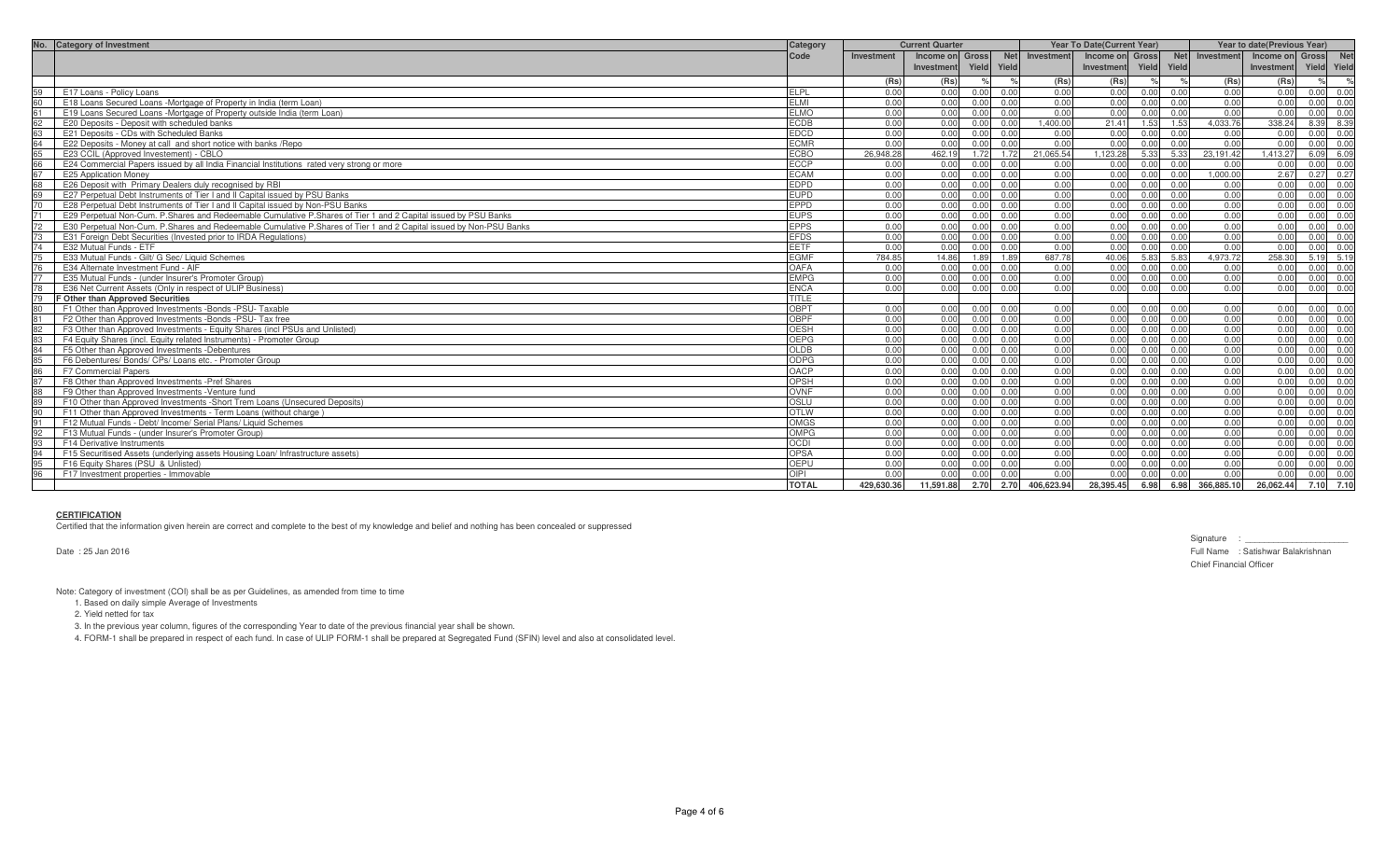| No. Category of Investment                                                                                           | Category     | <b>Current Quarter</b> |                 |             | <b>Year To Date(Current Year)</b> |                 |      |             | Year to date(Previous Year) |                 |               |
|----------------------------------------------------------------------------------------------------------------------|--------------|------------------------|-----------------|-------------|-----------------------------------|-----------------|------|-------------|-----------------------------|-----------------|---------------|
|                                                                                                                      | Code         | Investment             | Income on Gross |             | Net Investment                    | Income on Gross |      | <b>Net</b>  | Investment                  | Income on Gross | <b>Net</b>    |
|                                                                                                                      |              |                        | Investment      | Yield Yield |                                   | Investment      |      | Yield Yield |                             | Investment      | Yield Yield   |
|                                                                                                                      |              | (Rs)                   | (Rs)            |             | (Rs)                              | (Rs)            |      |             | (Rs)                        | (Rs)            | $\frac{1}{2}$ |
| E17 Loans - Policy Loans                                                                                             | <b>ELPL</b>  | 0.00                   | 0.00            | 0.00        | 0.00<br>0.00                      | 0.00            | 0.00 | 0.00        | 0.00                        | 0.00            | 0.00 0.00     |
| 60<br>E18 Loans Secured Loans -Mortgage of Property in India (term Loan)                                             | FI MI        | 0.00                   | 0.00            | 0.00        | 0.00<br>0.00                      | 0.00            | 0.00 | 0.00        | 0.00                        | 0.00            | 0.00 0.00     |
| 61<br>E19 Loans Secured Loans -Mortgage of Property outside India (term Loan)                                        | <b>ELMO</b>  | 0.00                   | 0.00            | 0.00        | 0.00<br>0.00                      | 0.00            | 0.00 | 0.00        | 0.00                        | 0.00            | 0.00 0.00     |
| E20 Deposits - Deposit with scheduled banks<br>62                                                                    | <b>ECDB</b>  | 0.00                   | 0.00            | 0.00        | 1.400.00<br>0.00                  | 21.41           | 1.53 | 1.53        | 4.033.76                    | 338.24          | 8.39 8.39     |
| 63<br>E21 Deposits - CDs with Scheduled Banks                                                                        | <b>EDCD</b>  | 0.00                   | 0.00            | 0.00        | 0.00<br>0.00                      | 0.00            | 0.00 | 0.00        | 0.00                        | 0.00            | $0.00 \ 0.00$ |
| 64<br>E22 Deposits - Money at call and short notice with banks / Repo                                                | <b>ECMR</b>  | 0.00                   | 0.00            | 0.00        | 0.00<br>0.00                      | 0.00            | 0.00 | 0.00        | 0.00                        | 0.00            | 0.00<br>0.00  |
| E23 CCIL (Approved Investement) - CBLO<br>65<br>66                                                                   | <b>ECBO</b>  | 26.948.28              | 462.19          | 1.72        | 21.065.54<br>1.72                 | 1.123.28        | 5.33 | 5.33        | 23.191.42                   | 1.413.27        | 6.09 6.09     |
| E24 Commercial Papers issued by all India Financial Institutions rated very strong or more                           | <b>ECCP</b>  | 0.00                   | 0.00            | 0.00        | 0.00<br>0.00                      | 0.00            | 0.00 | 0.00        | 0.00                        | 0.00            | 0.00 0.00     |
| 67<br>E25 Application Money                                                                                          | <b>ECAM</b>  | 0.00                   | 0.00            | 0.00        | 0.00<br>0.00                      | 0.00            | 0.00 | 0.00        | 1.000.00                    | 2.67            | $0.27$ 0.27   |
| 68<br>E26 Deposit with Primary Dealers duly recognised by RBI                                                        | <b>EDPD</b>  | 0.00                   | 0.00            | 0.00        | 0.00<br>0.00                      | 0.00            | 0.00 | 0.00        | 0.00                        | 0.00            | 0.00 0.00     |
| E27 Perpetual Debt Instruments of Tier I and II Capital issued by PSU Banks                                          | <b>EUPD</b>  | 0.00                   | 0.00            | 0.00        | 0.00<br>0.00                      | 0.00            | 0.00 | 0.00        | 0.00                        | 0.00            | $0.00 \ 0.00$ |
| E28 Perpetual Debt Instruments of Tier I and II Capital issued by Non-PSU Banks<br>70                                | <b>EPPD</b>  | 0.00                   | 0.00            | 0.00        | 0.00<br>0.00                      | 0.00            | 0.00 | 0.00        | 0.00                        | 0.00            | 0.00 0.00     |
| 71<br>E29 Perpetual Non-Cum. P.Shares and Redeemable Cumulative P.Shares of Tier 1 and 2 Capital issued by PSU Banks | <b>EUPS</b>  | 0.00                   | 0.00            | 0.00        | 0.00<br>0.00                      | 0.00            | 0.00 | 0.00        | 0.00                        | 0.00            | 0.00 0.00     |
| E30 Perpetual Non-Cum, P.Shares and Redeemable Cumulative P.Shares of Tier 1 and 2 Capital issued by Non-PSU Banks   | <b>EPPS</b>  | 0.00                   | 0.00            | 0.00        | 0.00<br>0.00                      | 0.00            | 0.00 | 0.00        | 0.00                        | 0.00            | 0.00 0.00     |
| 73<br>E31 Foreign Debt Securities (Invested prior to IRDA Regulations)                                               | <b>EFDS</b>  | 0.00                   | 0.00            | 0.00        | 0.00<br>0.00                      | 0.00            | 0.00 | 0.00        | 0.00                        | 0.00            | 0.00 0.00     |
| 74<br>E32 Mutual Funds - ETF                                                                                         | <b>EETF</b>  | 0.00                   | 0.00            | 0.00        | 0.00<br>0.00                      | 0.00            | 0.00 | 0.00        | 0.00                        | 0.00            | 0.00 0.00     |
| E33 Mutual Funds - Gilt/ G Sec/ Liquid Schemes                                                                       | <b>EGMF</b>  | 784.85                 | 14.86           | 1.89        | 687.78<br>1.89                    | 40.06           | 5.83 | 5.83        | 4.973.72                    | 258.30          | 5.19 5.19     |
| E34 Alternate Investment Fund - AIF                                                                                  | OAFA         | 0.00                   | 0.00            | 0.00        | 0.00<br>0.00                      | 0.00            | 0.00 | 0.00        | 0.00                        | 0.00            | 0.00 0.00     |
| 77<br>E35 Mutual Funds - (under Insurer's Promoter Group)                                                            | <b>EMPG</b>  | 0.00                   | 0.00            | 0.00        | 0.00<br>0.00                      | 0.00            | 0.00 | 0.00        | 0.00                        | 0.00            | 0.00 0.00     |
| 78<br>E36 Net Current Assets (Only in respect of ULIP Business)                                                      | <b>ENCA</b>  | 0.00                   | 0.00            | 0.00        | 0.00<br>0.00                      | 0.00            | 0.00 | 0.00        | 0.00                        | 0.00            | 0.00<br>0.00  |
| F Other than Approved Securities                                                                                     | TITLE        |                        |                 |             |                                   |                 |      |             |                             |                 |               |
| 80<br>F1 Other than Approved Investments -Bonds -PSU- Taxable                                                        | OBPT         | 0.00                   | 0.00            | 0.00        | 0.00<br>0.00                      | 0.00            | 0.00 | 0.00        | 0.00                        | 0.00            | 0.00 0.00     |
| 81<br>F2 Other than Approved Investments -Bonds -PSU- Tax free                                                       | <b>OBPF</b>  | 0.00                   | 0.00            | 0.00        | 0.00<br>0.00                      | 0.00            | 0.00 | 0.00        | 0.00                        | 0.00            | 0.00 0.00     |
| F3 Other than Approved Investments - Equity Shares (incl PSUs and Unlisted)<br>82                                    | <b>OESH</b>  | 0.00                   | 0.00            | 0.00        | 0.00<br>0.00                      | 0.00            | 0.00 | 0.00        | 0.00                        | 0.00            | 0.00 0.00     |
| 83<br>F4 Equity Shares (incl. Equity related Instruments) - Promoter Group                                           | OEPG         | 0.00                   | 0.00            | 0.00        | 0.00<br>0.00                      | 0.00            | 0.00 | 0.00        | 0.00                        | 0.00            | 0.00 0.00     |
| 84<br>F5 Other than Approved Investments -Debentures                                                                 | <b>OLDB</b>  | 0.00                   | 0.00            | 0.00        | 0.00<br>0.00                      | 0.00            | 0.00 | 0.00        | 0.00                        | 0.00            | $0.00 \ 0.00$ |
| F6 Debentures/ Bonds/ CPs/ Loans etc. - Promoter Group<br>$\frac{85}{86}$                                            | <b>ODPG</b>  | 0.00                   | 0.00            | 0.00        | 0.00<br>0.00                      | 0.00            | 0.00 | 0.00        | 0.00                        | 0.00            | 0.00 0.00     |
| F7 Commercial Papers                                                                                                 | OACP         | 0.00                   | 0.00            | 0.00        | 0.00<br>0.00                      | 0.00            | 0.00 | 0.00        | 0.00                        | 0.00            | 0.00 0.00     |
| 87<br>F8 Other than Approved Investments - Pref Shares                                                               | OPSH         | 0.00                   | 0.00            | 0.00        | 0.00<br>0.00                      | 0.00            | 0.00 | 0.00        | 0.00                        | 0.00            | 0.00 0.00     |
| 88<br>F9 Other than Approved Investments - Venture fund                                                              | <b>OVNF</b>  | 0.00                   | 0.00            | 0.00        | 0.00<br>0.00                      | 0.00            | 0.00 | 0.00        | 0.00                        | 0.00            | 0.00 0.00     |
| F10 Other than Approved Investments -Short Trem Loans (Unsecured Deposits)                                           | OSLU         | 0.00                   | 0.00            | 0.00        | 0.00<br>0.00                      | 0.00            | 0.00 | 0.00        | 0.00                        | 0.00            | 0.00 0.00     |
| F11 Other than Approved Investments - Term Loans (without charge)<br>90                                              | <b>OTLW</b>  | 0.00                   | 0.00            | 0.00        | 0.00<br>0.00                      | 0.00            | 0.00 | 0.00        | 0.00                        | 0.00            | $0.00 \ 0.00$ |
| 91<br>F12 Mutual Funds - Debt/ Income/ Serial Plans/ Liquid Schemes                                                  | <b>OMGS</b>  | 0.00                   | 0.00            | 0.00        | 0.00<br>0.00                      | 0.00            | 0.00 | 0.00        | 0.00                        | 0.00            | 0.00 0.00     |
| 92<br>F13 Mutual Funds - (under Insurer's Promoter Group)                                                            | <b>OMPG</b>  | 0.00                   | 0.00            | 0.00        | 0.00<br>0.00                      | 0.00            | 0.00 | 0.00        | 0.00                        | 0.00            | 0.00 0.00     |
| 93<br>F14 Derivative Instruments                                                                                     | <b>OCDI</b>  | 0.00                   | 0.00            | 0.00        | 0.00<br>0.00                      | 0.00            | 0.00 | 0.00        | 0.00                        | 0.00            | 0.00 0.00     |
| 94<br>F15 Securitised Assets (underlying assets Housing Loan/ Infrastructure assets)                                 | <b>OPSA</b>  | 0.00                   | 0.00            | 0.00        | 0.00<br>0.00                      | 0.00            | 0.00 | 0.00        | 0.00                        | 0.00            | 0.00 0.00     |
| F16 Equity Shares (PSU & Unlisted)<br>95                                                                             | <b>OEPU</b>  | 0.00                   | 0.00            | 0.00        | 0.00<br>0.00                      | 0.00            | 0.00 | 0.00        | 0.00                        | 0.00            | 0.00 0.00     |
| 96<br>F17 Investment properties - Immovable                                                                          | OIPI         | 0.00                   | 0.00            | 0.00        | 0.00<br>0.00                      | 0.00            | 0.00 | 0.00        | 0 <sub>0</sub>              | 0.00            | 0.00 0.00     |
|                                                                                                                      | <b>TOTAL</b> | 429.630.36             | 11,591.88       | 2.70        | 2.70<br>406.623.94                | 28.395.45       | 6.98 | 6.98        | 366,885.10                  | 26.062.44       | 7.10 7.10     |

# **CERTIFICATION**

Certified that the information given herein are correct and complete to the best of my knowledge and belief and nothing has been concealed or suppressed

Date : 25 Jan 2016

Signature : \_\_\_\_\_\_\_\_\_\_\_\_\_\_\_\_\_\_\_\_\_\_ Full Name : Satishwar Balakrishnan Chief Financial Officer

Note: Category of investment (COI) shall be as per Guidelines, as amended from time to time

1. Based on daily simple Average of Investments

2. Yield netted for tax

3. In the previous year column, figures of the corresponding Year to date of the previous financial year shall be shown.

4. FORM-1 shall be prepared in respect of each fund. In case of ULIP FORM-1 shall be prepared at Segregated Fund (SFIN) level and also at consolidated level.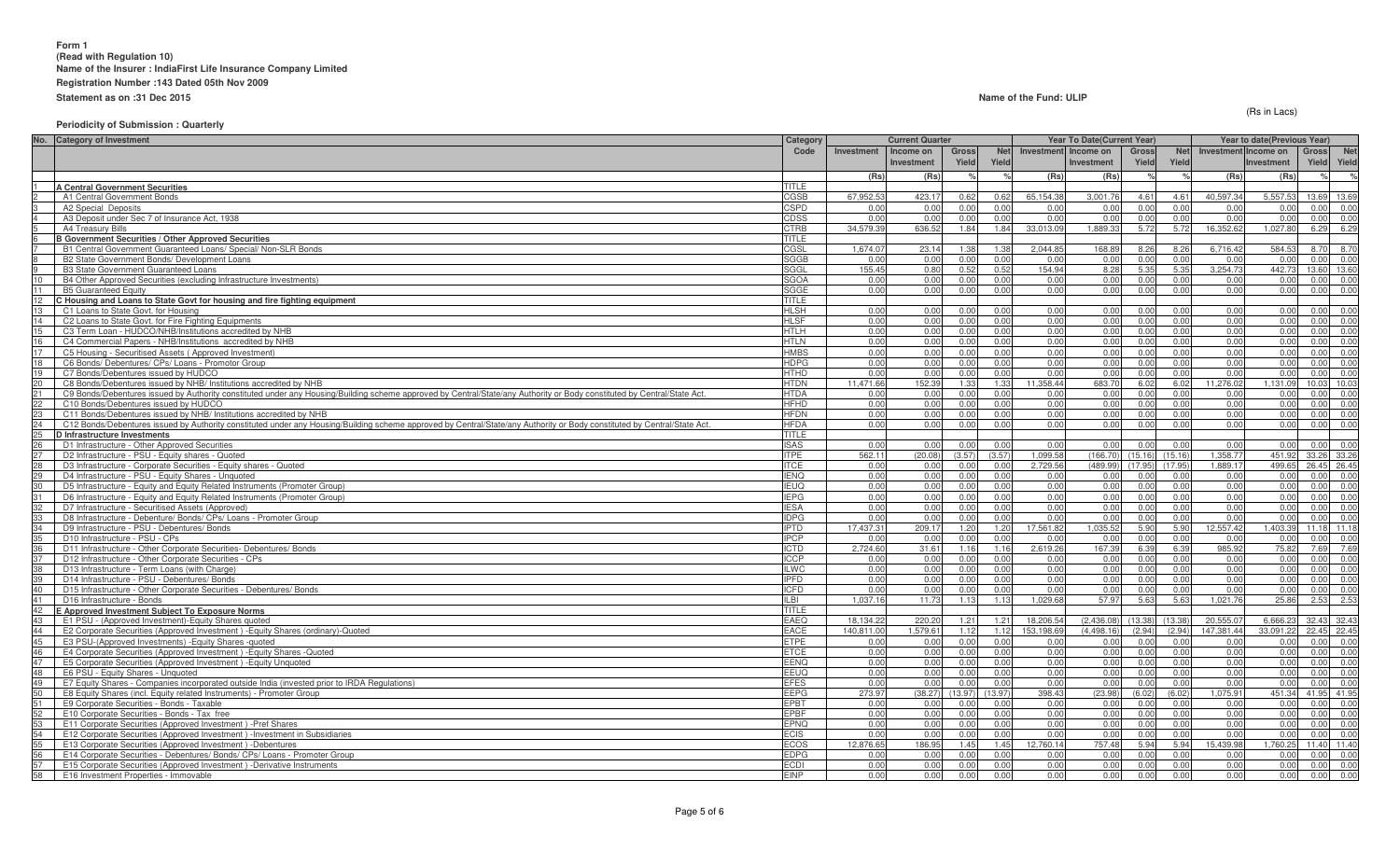(Rs in Lacs)

## **Periodicity of Submission : Quarterly**

| No.<br><b>Category of Investment</b>                                                                                                                                           | Category            |                | <b>Current Quarter</b> |              |              |                      | Year To Date(Current Year) |                |                | Year to date(Previous Year) |                   |              |                   |
|--------------------------------------------------------------------------------------------------------------------------------------------------------------------------------|---------------------|----------------|------------------------|--------------|--------------|----------------------|----------------------------|----------------|----------------|-----------------------------|-------------------|--------------|-------------------|
|                                                                                                                                                                                | Code                | Investment     | Income on              | Gross        | <b>Net</b>   | Investment Income on |                            | Gross          | <b>Net</b>     | Investment Income on        |                   | <b>Gross</b> | Net               |
|                                                                                                                                                                                |                     |                | <b>Investment</b>      | Yield        | Yield        |                      | Investment                 | Yield          | Yield          |                             | Investment        | Yield        | Yield             |
|                                                                                                                                                                                |                     | (Rs)           | (Rs)                   |              |              | (Rs)                 | (Rs)                       |                |                | (Rs)                        | (Rs)              |              | $\frac{1}{2}$     |
| <b>A Central Government Securities</b>                                                                                                                                         | TITLE.              |                |                        |              |              |                      |                            |                |                |                             |                   |              |                   |
| A1 Central Government Bonds                                                                                                                                                    | CGSB                | 67,952.5       | 423.17                 | 0.62         | 0.62         | 65,154.38            | 3,001.76                   | 4.61           | 4.61           | 40,597.34                   | 5,557.53          |              | 13.69 13.69       |
| A2 Special Deposits                                                                                                                                                            | <b>SPD</b>          | 0.00           | 0.00                   | 0.00         | 0.00         | n nr                 | 0.00                       | 0.00           | 0.00           | 0.00                        | 0.00              |              | 0.00 0.00         |
| A3 Deposit under Sec 7 of Insurance Act, 1938                                                                                                                                  | CDSS                | 0.00           | 0.00                   | 0.00         | 0.00         | 0.00                 | 0.00                       | 0.00           | 0.00           | 0.00                        | 0.00              | 0.00         | 0.00              |
| A4 Treasury Bills                                                                                                                                                              | CTRB                | 34.579.39      | 636.52                 | 1.84         | 1.84         | 33.013.09            | 1.889.33                   | 5.72           | 5.72           | 16.352.62                   | 1.027.80          | 6.29         | 6.29              |
| <b>B Government Securities / Other Approved Securities</b>                                                                                                                     | TITLE               |                |                        |              |              |                      |                            |                |                |                             |                   |              |                   |
| B1 Central Government Guaranteed Loans/ Special/ Non-SLR Bonds                                                                                                                 | CGSL                | 1,674.0        | 23.14                  | 1.38         | 1.38         | 2,044.85             | 168.89                     | 8.26           | 8.26           | 6,716.42                    | 584.53            | 8.70         | 8.70              |
| B2 State Government Bonds/ Development Loans                                                                                                                                   | <b>SGGB</b>         | 0.00           | 0.00                   | 0.00         | 0.00         | 0.00                 | 0.00                       | 0.00           | 0.00           | 0.00                        | 0.00              | 0.00         | 0.00              |
| <b>B3 State Government Guaranteed Loans</b>                                                                                                                                    | SGGL                | 155.45<br>0.00 | 0.80                   | 0.52         | 0.52         | 154.94               | 8.28                       | 5.35           | 5.35           | 3,254.73                    | 442.73            | 13.60        | 13.60             |
| B4 Other Approved Securities (excluding Infrastructure Investments)<br>11<br><b>B5 Guaranteed Equity</b>                                                                       | <b>SGOA</b><br>SGGE | 0.00           | 0.00<br>0.00           | 0.00<br>0.00 | 0.00<br>0.00 | 0.00<br>0.00         | 0.00<br>0.00               | 0.00<br>0.00   | 0.00<br>0.00   | 0.00<br>0.00                | 0.00<br>0.00      | 0.00<br>0.00 | 0.00<br>0.00      |
| 12<br>C Housing and Loans to State Govt for housing and fire fighting equipment                                                                                                | <b>TITLE</b>        |                |                        |              |              |                      |                            |                |                |                             |                   |              |                   |
| 13<br>C1 Loans to State Govt, for Housing                                                                                                                                      | <b>HLSH</b>         | 0.00           | 0.00                   | 0.00         | 0.00         | 0.00                 | 0.00                       | 0.00           | 0.00           | 0.00                        | 0.00              | 0.00         | 0.00              |
| 14<br>C2 Loans to State Govt. for Fire Fighting Equipments                                                                                                                     | <b>HLSF</b>         | 0.00           | 0.00                   | 0.00         | 0.00         | 0.00                 | 0.00                       | 0.00           | 0.00           | 0.00                        | 0.00              | 0.00         | 0.00              |
| C3 Term Loan - HUDCO/NHB/Institutions accredited by NHB                                                                                                                        | HTLH                | 0.00           | 0.00                   | 0.00         | 0.00         | 0.00                 | 0.00                       | 0.00           | 0.00           | 0.00                        | 0.00              | 0.00         | 0.00              |
| 16<br>C4 Commercial Papers - NHB/Institutions accredited by NHB                                                                                                                | HTLN                | 0.00           | 0.00                   | 0.00         | 0.00         | 0.00                 | 0.00                       | 0.00           | 0.00           | 0.00                        | 0.00              | 0.00         | 0.00              |
| 17<br>C5 Housing - Securitised Assets (Approved Investment)                                                                                                                    | HMBS                | 0.00           | 0.00                   | 0.00         | 0.00         | 0.00                 | 0.00                       | 0.00           | 0.00           | 0.00                        | 0.00              | 0.00         | 0.00              |
| C6 Bonds/ Debentures/ CPs/ Loans - Promotor Group                                                                                                                              | <b>HDPG</b>         | 0.00           | 0.00                   | 0.00         | 0.00         | 0.00                 | 0.00                       | 0.00           | 0.00           | 0.00                        | 0.00              | 0.00         | 0.00              |
| 19<br>C7 Bonds/Debentures issued by HUDCO                                                                                                                                      | HTHD                | 0.00           | 0.00                   | 0.00         | 0.00         | 0.00                 | 0.00                       | 0.00           | 0.00           | 0.00                        | 0.00              | 0.00         | 0.00              |
| 20<br>C8 Bonds/Debentures issued by NHB/ Institutions accredited by NHB                                                                                                        | <b>HTDN</b>         | 11,471.66      | 152.39                 | 1.33         | 1.33         | 11,358.44            | 683.70                     | 6.02           | 6.02           | 11,276.02                   | 1,131.09          |              | 10.03 10.03       |
| 21<br>C9 Bonds/Debentures issued by Authority constituted under any Housing/Building scheme approved by Central/State/any Authority or Body constituted by Central/State Act.  | HTDA                | 0.00           | 0.00                   | 0.00         | 0.00         | 0.00                 | 0.00                       | 0.00           | 0.00           | 0.00                        | 0.00              | 0.00         | 0.00              |
| 22<br>C10 Bonds/Debentures issued by HUDCO                                                                                                                                     | HFHD                | 0.00           | 0.00                   | 0.00         | 0.00         | 0.00                 | 0.00                       | 0.00           | 0.00           | 0.00                        | 0.00              | 0.00         | 0.00              |
| C11 Bonds/Debentures issued by NHB/ Institutions accredited by NHB                                                                                                             | <b>HFDN</b>         | 0.00           | 0.00                   | 0.00         | 0.00         | 0.00                 | 0.00                       | 0.00           | 0.00           | 0.00                        | 0.00              | 0.00         | 0.00              |
| 24<br>C12 Bonds/Debentures issued by Authority constituted under any Housing/Building scheme approved by Central/State/any Authority or Body constituted by Central/State Act. | <b>HFDA</b>         | 0.00           | 0.00                   | 0.00         | 0.00         | 0.00                 | 0.00                       | 0.00           | 0.00           | 0.00                        | 0.00              | 0.00         | 0.00              |
| 25<br>D Infrastructure Investments                                                                                                                                             | <b>TITLE</b>        |                |                        |              |              |                      |                            |                |                |                             |                   |              |                   |
| 26<br>D1 Infrastructure - Other Approved Securities                                                                                                                            | <b>SAS</b>          | 0.00           | 0.00                   | 0.00         | 0.00         | 0.00                 | 0.00                       | 0.00           | 0.00           | 0.00                        | 0.00              |              | 0.00 0.00         |
| 27<br>D2 Infrastructure - PSU - Equity shares - Quoted                                                                                                                         | TPE                 | 562.11         | (20.08)                | (3.57)       | (3.57)       | 1,099.58             | (166.70)                   | (15.16)        | (15.16)        | 1,358.77                    | 451.92            |              | 33.26 33.26       |
| D3 Infrastructure - Corporate Securities - Equity shares - Quoted                                                                                                              | TCE                 | 0.00           | 0.00                   | 0.00         | 0.00         | 2,729.56             | (489.99)                   | (17.95)        | (17.95)        | 1,889.17                    | 499.65            |              | 26.45 26.45       |
| 29<br>D4 Infrastructure - PSU - Equity Shares - Unquoted                                                                                                                       | <b>IENO</b>         | 0.00           | 0.00                   | 0.00         | 0.00         | 0.00                 | 0.00                       | 0.00           | 0.00           | 0.00                        | 0.00              | 0.00         | 0.00              |
| 30 <sup>2</sup><br>D5 Infrastructure - Equity and Equity Related Instruments (Promoter Group)                                                                                  | <b>EUQ</b>          | 0.00           | 0.00                   | 0.00         | 0.00         | 0.00                 | 0.00                       | 0.00           | 0.00           | 0.00                        | 0.00              | 0.00         | 0.00              |
| D6 Infrastructure - Equity and Equity Related Instruments (Promoter Group)                                                                                                     | <b>IEPG</b>         | 0.00           | 0.00                   | 0.00         | 0.00         | 0.00                 | 0.00                       | 0.00           | 0.00           | 0.00                        | 0.00              | 0.00         | 0.00              |
| 32<br>D7 Infrastructure - Securitised Assets (Approved)                                                                                                                        | ESA                 | 0.00           | 0.00                   | 0.00         | 0.00         | 0.00                 | 0.00                       | 0.00           | 0.00           | 0.00                        | 0.00              | 0.00         | 0.00              |
| 33<br>D8 Infrastructure - Debenture/ Bonds/ CPs/ Loans - Promoter Group                                                                                                        | <b>IDPG</b>         | 0.00           | 0.00                   | 0.00         | 0.00         | 0.00                 | 0.00                       | 0.00           | 0.00           | 0.00                        | 0.00              | 0.00         | 0.00              |
| 34<br>D9 Infrastructure - PSU - Debentures/ Bonds                                                                                                                              | <b>PTD</b>          | 17.437.3       | 209.17                 | 1.20         | 1.20         | 17.561.82            | 1.035.52                   | 5.90           | 5.90           | 12.557.42                   | 1.403.39          |              | 11.18 11.18       |
| 35<br>D10 Infrastructure - PSU - CPs                                                                                                                                           | PCP                 | 0.00           | 0.00                   | 0.00         | 0.00         | 0.00                 | 0.00                       | 0.00           | 0.00           | 0.00                        | 0.00              | 0.00         | 0.00              |
| 36<br>D11 Infrastructure - Other Corporate Securities- Debentures/ Bonds                                                                                                       | <b>CTD</b>          | 2,724.60       | 31.61                  | 1.16         | 1.16         | 2,619.26             | 167.39                     | 6.39           | 6.39           | 985.92                      | 75.82             |              | 7.69 7.69         |
| 37<br>D12 Infrastructure - Other Corporate Securities - CPs                                                                                                                    | CCP                 | 0.00           | 0.00                   | 0.00         | 0.00         | 0.00                 | 0.00                       | 0.00           | 0.00           | 0.00                        | 0.00              | 0.00         | 0.00              |
| 38<br>D13 Infrastructure - Term Loans (with Charge)                                                                                                                            | LWC                 | 0.00           | 0.00                   | 0.00         | 0.00         | 0.00                 | 0.00                       | 0.00           | 0.00           | 0.00                        | 0.00              | 0.00         | 0.00              |
| 39<br>D14 Infrastructure - PSU - Debentures/ Bonds                                                                                                                             | <b>IPFD</b>         | 0.00           | 0.00                   | 0.00         | 0.00         | 0.00                 | 0.00                       | 0.00           | 0.00           | 0.00                        | 0.00              | 0.00         | 0.00              |
| 40<br>D15 Infrastructure - Other Corporate Securities - Debentures/ Bonds                                                                                                      | CFD                 | 0.00           | 0.00                   | 0.00         | 0.00         | 0.00                 | 0.00                       | 0.00           | 0.00           | 0.00                        | 0.00              | 0.00         | 0.00              |
| 41<br>D16 Infrastructure - Bonds                                                                                                                                               | ILBI.               | 1.037.16       | 11.73                  | 1.13         | 1.13         | 1.029.68             | 57.97                      | 5.63           | 5.63           | 1.021.76                    | 25.86             |              | 2.53 2.53         |
| E Approved Investment Subject To Exposure Norms                                                                                                                                | <b>TITLE</b>        |                |                        |              |              |                      |                            |                |                |                             |                   |              |                   |
| 43<br>E1 PSU - (Approved Investment)-Equity Shares quoted                                                                                                                      | EAEQ                | 18.134.2       | 220.20                 | 1.21         | 1.21         | 18,206.54            | (2,436.08)                 | (13.38)        | (13.38)        | 20.555.07                   | 6.666.23          |              | 32.43 32.43       |
| 44<br>E2 Corporate Securities (Approved Investment) - Equity Shares (ordinary)-Quoted<br>45                                                                                    | EACE<br>ETPE        | 140.811.00     | 1.579.61               | 1.12<br>0.00 | 1.12<br>0.00 | 153,198.69           | (4, 498.16)<br>0.00        | (2.94)<br>0.00 | (2.94)<br>0.00 | 147,381.44                  | 33,091.22<br>0.00 |              | 22.45 22.45       |
| E3 PSU-(Approved Investments) - Equity Shares - quoted<br>46                                                                                                                   |                     | 0.00           | 0.00<br>0.00           | 0.00         | 0.00         | 0.00                 |                            |                |                | 0.00<br>0.00                |                   |              | 0.00 0.00<br>0.00 |
| E4 Corporate Securities (Approved Investment) - Equity Shares - Quoted<br>E5 Corporate Securities (Approved Investment) - Equity Unquoted                                      | ETCE<br>EENQ        | 0.00<br>0.00   | 0.00                   | 0.00         | 0.00         | 0.00<br>0.00         | 0.00<br>0.00               | 0.00<br>0.00   | 0.00<br>0.00   | 0.00                        | 0.00<br>0.00      | 0.00<br>0.00 | 0.00              |
| 48<br>E6 PSU - Equity Shares - Unquoted                                                                                                                                        | EEUQ                | 0.00           | 0.00                   | 0.00         | 0.00         | 0.00                 | 0.00                       | 0.00           | 0.00           | 0.00                        | 0.00              | 0.00         | 0.00              |
| 49<br>E7 Equity Shares - Companies incorporated outside India (invested prior to IRDA Regulations)                                                                             | <b>EFES</b>         | 0.00           | 0.00                   | 0.00         | 0.00         | 0.00                 | 0.00                       | 0.00           | 0.00           | 0.00                        | 0.00              | 0.00         | 0.00              |
| 50<br>E8 Equity Shares (incl. Equity related Instruments) - Promoter Group                                                                                                     | EEPG                | 273.97         | (38.27)                | (13.97)      | (13.97)      | 398.43               | (23.98)                    | (6.02)         | (6.02)         | 1,075.91                    | 451.34            | 41.95 41.95  |                   |
| 51<br>E9 Corporate Securities - Bonds - Taxable                                                                                                                                | EPBT                | 0.00           | 0.00                   | 0.00         | 0.00         | 0.00                 | 0.00                       | 0.00           | 0.00           | 0.00                        | 0.00              | 0.00         | 0.00              |
| E10 Corporate Securities - Bonds - Tax free                                                                                                                                    | EPBF                | 0.00           | 0.00                   | 0.00         | 0.00         | 0.00                 | 0.00                       | 0.00           | 0.00           | 0.00                        | 0.00              | 0.00         | 0.00              |
| 53<br>E11 Corporate Securities (Approved Investment) - Pref Shares                                                                                                             | EPNQ                | 0.00           | 0.00                   | 0.00         | 0.00         | 0.00                 | 0.00                       | 0.00           | 0.00           | 0.00                        | 0.00              | 0.00         | 0.00              |
| 54<br>E12 Corporate Securities (Approved Investment) - Investment in Subsidiaries                                                                                              | ECIS                | 0.00           | 0.00                   | 0.00         | 0.00         | 0.00                 | 0.00                       | 0.00           | 0.00           | 0.00                        | 0.00              | 0.00         | 0.00              |
| E13 Corporate Securities (Approved Investment) -Debentures                                                                                                                     | <b>ECOS</b>         | 12,876.65      | 186.95                 | 1.45         | 1.45         | 12,760.14            | 757.48                     | 5.94           | 5.94           | 5,439.98                    | 1,760.25          |              | 11.40 11.40       |
| 56<br>E14 Corporate Securities - Debentures/ Bonds/ CPs/ Loans - Promoter Group                                                                                                | <b>EDPG</b>         | 0.00           | 0.00                   | 0.00         | 0.00         | 0.00                 | 0.00                       | 0.00           | 0.00           | 0.00                        | 0.00              | 0.00         | 0.00              |
| E15 Corporate Securities (Approved Investment) - Derivative Instruments                                                                                                        | ECDI                | 0.00           | 0.00                   | 0.00         | 0.00         | 0.00                 | 0.00                       | 0.00           | 0.00           | 0.00                        | 0.00              | 0.00         | 0.00              |
| 58<br>E16 Investment Properties - Immovable                                                                                                                                    | <b>EINP</b>         | 0.00           | 0.00                   | 0.00         | 0.00         | 0.00                 | 0.00                       | 0.00           | 0.00           | 0.00                        | 0.00              | 0.00         | 0.00              |
|                                                                                                                                                                                |                     |                |                        |              |              |                      |                            |                |                |                             |                   |              |                   |